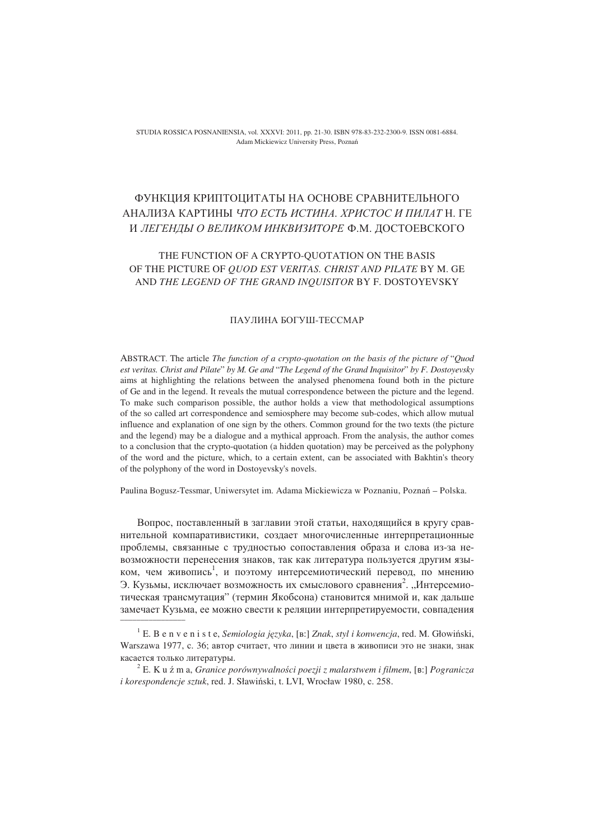STUDIA ROSSICA POSNANIENSIA, vol. XXXVI: 2011, pp. 21-30. ISBN 978-83-232-2300-9. ISSN 0081-6884. Adam Mickiewicz University Press, Pozna

# ФУНКЦИЯ КРИПТОЦИТАТЫ НА ОСНОВЕ СРАВНИТЕЛЬНОГО АНАЛИЗА КАРТИНЫ *ЧТО ЕСТЬ ИСТИНА. ХРИСТОС И ПИЛАТ* Н. ГЕ И *ЛЕГЕНДЫ О ВЕЛИКОМ ИНКВИЗИТОРЕ* Ф.М. ДОСТОЕВСКОГО

## THE FUNCTION OF A CRYPTO-QUOTATION ON THE BASIS OF THE PICTURE OF *QUOD EST VERITAS. CHRIST AND PILATE* BY M. GE AND *THE LEGEND OF THE GRAND INQUISITOR* BY F. DOSTOYEVSKY

#### ПАУЛИНА БОГУШ-ТЕССМАР

ABSTRACT. The article *The function of a crypto-quotation on the basis of the picture of* "*Quod est veritas. Christ and Pilate*" *by M. Ge and* "*The Legend of the Grand Inquisitor*" *by F. Dostoyevsky* aims at highlighting the relations between the analysed phenomena found both in the picture of Ge and in the legend. It reveals the mutual correspondence between the picture and the legend. To make such comparison possible, the author holds a view that methodological assumptions of the so called art correspondence and semiosphere may become sub-codes, which allow mutual influence and explanation of one sign by the others. Common ground for the two texts (the picture and the legend) may be a dialogue and a mythical approach. From the analysis, the author comes to a conclusion that the crypto-quotation (a hidden quotation) may be perceived as the polyphony of the word and the picture, which, to a certain extent, can be associated with Bakhtin's theory of the polyphony of the word in Dostoyevsky's novels.

Paulina Bogusz-Tessmar, Uniwersytet im. Adama Mickiewicza w Poznaniu, Poznań – Polska.

Вопрос, поставленный в заглавии этой статьи, находящийся в кругу сравнительной компаративистики, создает многочисленные интерпретационные проблемы, связанные с трудностью сопоставления образа и слова из-за невозможности перенесения знаков, так как литература пользуется другим языком, чем живопись<sup>1</sup>, и поэтому интерсемиотический перевод, по мнению Э. Кузьмы, исключает возможность их смыслового сравнения<sup>2</sup>. "Интерсемиотическая трансмутация" (термин Якобсона) становится мнимой и, как дальше замечает Кузьма, ее можно свести к реляции интерпретируемости, совпадения \_\_\_\_\_\_\_\_\_\_\_\_\_\_\_\_

<sup>&</sup>lt;sup>1</sup> E. B e n v e n i s t e, *Semiologia języka*, [B:] *Znak, styl i konwencja*, red. M. Głowiński, Warszawa 1977, с. 36; автор считает, что линии и цвета в живописи это не знаки, знак касается только литературы.

<sup>&</sup>lt;sup>2</sup> E. K u ź m a, *Granice porównywalności poezji z malarstwem i filmem*, [в:] *Pogranicza i korespondencje sztuk*, red. J. Sławiński, t. LVI, Wrocław 1980, c. 258.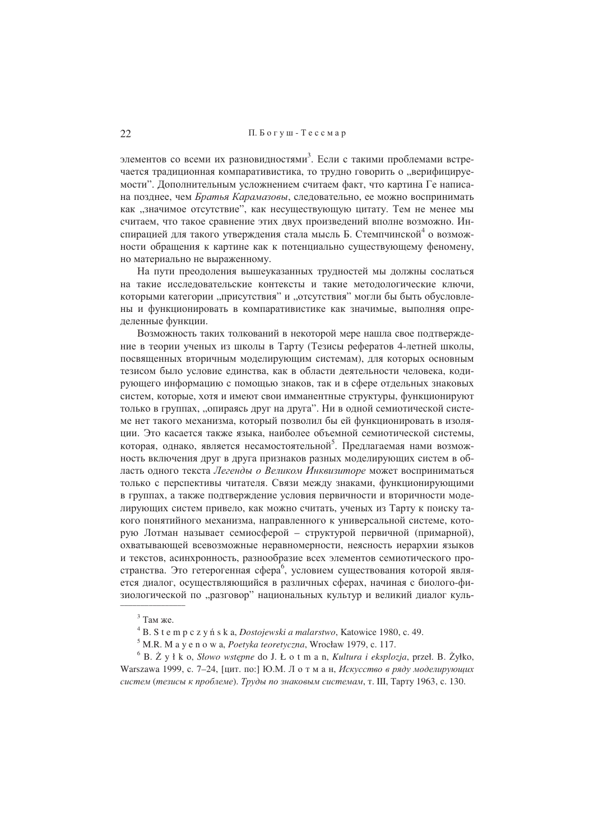элементов со всеми их разновидностями<sup>3</sup>. Если с такими проблемами встречается традиционная компаративистика, то трудно говорить о "верифицируемости". Дополнительным усложнением считаем факт, что картина Ге написана позднее, чем Братья Карамазовы, следовательно, ее можно воспринимать как "значимое отсутствие", как несуществующую цитату. Тем не менее мы считаем, что такое сравнение этих двух произведений вполне возможно. Инспирацией для такого утверждения стала мысль Б. Стемпчинской<sup>4</sup> о возможности обращения к картине как к потенциально существующему феномену, но материально не выраженному.

На пути преодоления вышеуказанных трудностей мы должны сослаться на такие исследовательские контексты и такие методологические ключи, которыми категории "присутствия" и "отсутствия" могли бы быть обусловлены и функционировать в компаративистике как значимые, выполняя определенные функции.

Возможность таких толкований в некоторой мере нашла свое подтверждение в теории ученых из школы в Тарту (Тезисы рефератов 4-летней школы, посвященных вторичным моделирующим системам), для которых основным тезисом было условие единства, как в области деятельности человека, кодирующего информацию с помощью знаков, так и в сфере отдельных знаковых систем, которые, хотя и имеют свои имманентные структуры, функционируют только в группах, "опираясь друг на друга". Ни в одной семиотической системе нет такого механизма, который позволил бы ей функционировать в изоляции. Это касается также языка, наиболее объемной семиотической системы, которая, однако, является несамостоятельной<sup>5</sup>. Предлагаемая нами возможность включения друг в друга признаков разных моделирующих систем в область одного текста Легенды о Великом Инквизиторе может восприниматься только с перспективы читателя. Связи между знаками, функционирующими в группах, а также подтверждение условия первичности и вторичности моделирующих систем привело, как можно считать, ученых из Тарту к поиску такого понятийного механизма, направленного к универсальной системе, которую Лотман называет семиосферой - структурой первичной (примарной), охватывающей всевозможные неравномерности, неясность иерархии языков и текстов, асинхронность, разнообразие всех элементов семиотического пространства. Это гетерогенная сфера<sup>6</sup>, условием существования которой является диалог, осуществляющийся в различных сферах, начиная с биолого-физиологической по "разговор" национальных культур и великий диалог куль-

 $6$  B.  $\dot{Z}$  y ł k o, *Słowo wstępne* do J. Ł o t m a n, *Kultura i eksplozja*, przeł. B. Żyłko, Warszawa 1999, с. 7-24, [цит. по:] Ю.М. Л о т м а н, Искусство в ряду моделирующих систем (тезисы к проблеме). Труды по знаковым системам, т. III, Тарту 1963, с. 130.

 $3$  Там же

 $4 B. S t e m p c z y n s k a$ , *Dostojewski a malarstwo*, Katowice 1980, c. 49.

<sup>&</sup>lt;sup>5</sup> M.R. M a y e n o w a, *Poetyka teoretyczna*, Wrocław 1979, c. 117.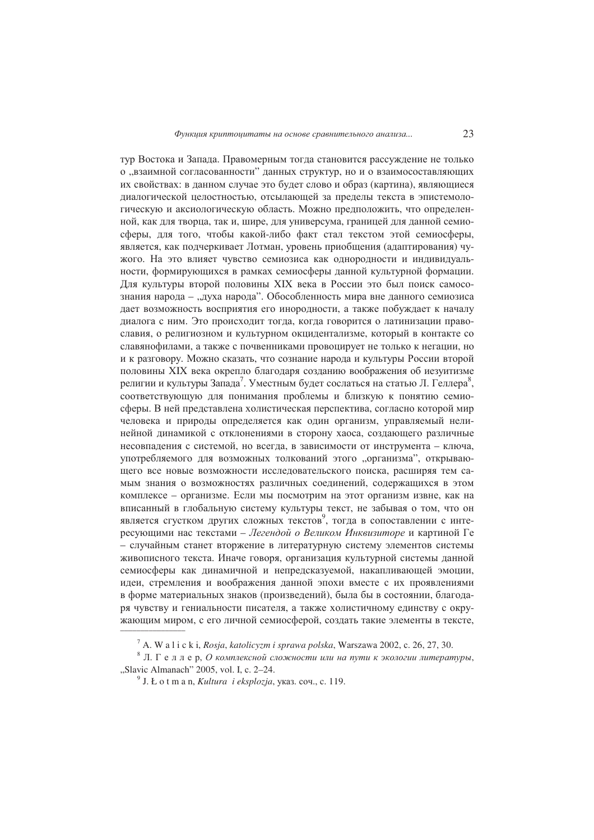тур Востока и Запада. Правомерным тогда становится рассуждение не только о "взаимной согласованности" данных структур, но и о взаимосоставляющих их свойствах: в данном случае это будет слово и образ (картина), являющиеся диалогической целостностью, отсылающей за пределы текста в эпистемологическую и аксиологическую область. Можно предположить, что определенной, как для творца, так и, шире, для универсума, границей для данной семиосферы, для того, чтобы какой-либо факт стал текстом этой семиосферы, является, как подчеркивает Лотман, уровень приобщения (адаптирования) чужого. На это влияет чувство семиозиса как однородности и индивидуальности, формирующихся в рамках семиосферы данной культурной формации. Для культуры второй половины XIX века в России это был поиск самосознания народа - "духа народа". Обособленность мира вне данного семиозиса дает возможность восприятия его инородности, а также побуждает к началу диалога с ним. Это происходит тогда, когда говорится о латинизации православия, о религиозном и культурном окцидентализме, который в контакте со славянофилами, а также с почвенниками провоцирует не только к негации, но и к разговору. Можно сказать, что сознание народа и культуры России второй половины XIX века окрепло благодаря созданию воображения об иезуитизме религии и культуры Запада<sup>'</sup>. Уместным будет сослаться на статью Л. Геллера<sup>8</sup>, соответствующую для понимания проблемы и близкую к понятию семиосферы. В ней представлена холистическая перспектива, согласно которой мир человека и природы определяется как один организм, управляемый нелинейной динамикой с отклонениями в сторону хаоса, создающего различные несовпадения с системой, но всегда, в зависимости от инструмента - ключа, употребляемого для возможных толкований этого "организма", открывающего все новые возможности исследовательского поиска, расширяя тем самым знания о возможностях различных соединений, содержащихся в этом комплексе - организме. Если мы посмотрим на этот организм извне, как на вписанный в глобальную систему культуры текст, не забывая о том, что он является сгустком других сложных текстов, тогда в сопоставлении с интересующими нас текстами – Легендой о Великом Инквизиторе и картиной Ге - случайным станет вторжение в литературную систему элементов системы живописного текста. Иначе говоря, организация культурной системы данной семиосферы как динамичной и непредсказуемой, накапливающей эмоции, идеи, стремления и воображения данной эпохи вместе с их проявлениями в форме материальных знаков (произведений), была бы в состоянии, благодаря чувству и гениальности писателя, а также холистичному елинству с окружающим миром, с его личной семиосферой, создать такие элементы в тексте,

 $^7$  A. W a l i c k i, Rosja, katolicyzm i sprawa polska, Warszawa 2002, c. 26, 27, 30.

 $8$  Л. Г е л л е р, О комплексной сложности или на пути к экологии литературы, "Slavic Almanach" 2005, vol. I, c. 2-24.

<sup>&</sup>lt;sup>9</sup> J. Ł o t m a n, *Kultura i eksplozja*, ykas. cou., c. 119.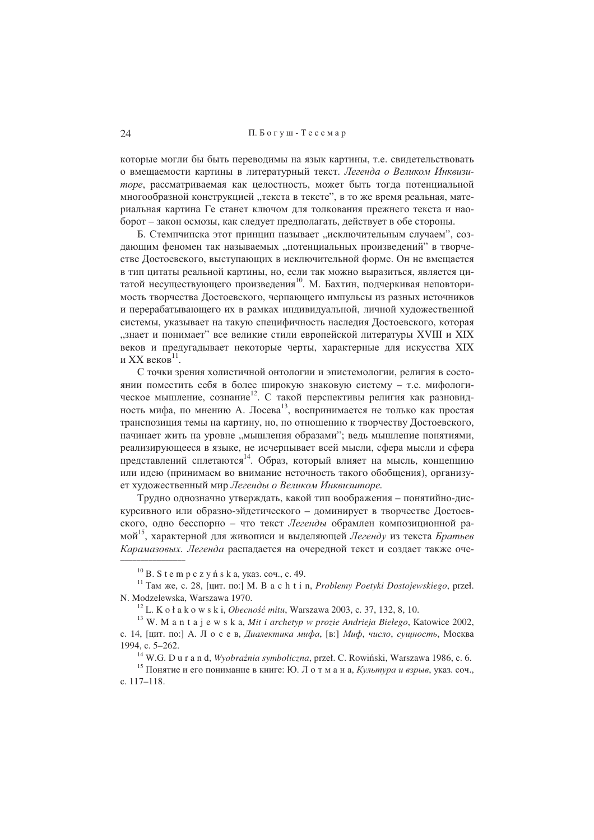которые могли бы быть переводимы на язык картины, т.е. свидетельствовать о вмещаемости картины в литературный текст. Легенда о Великом Инквизиторе, рассматриваемая как целостность, может быть тогда потенциальной многообразной конструкцией "текста в тексте", в то же время реальная, материальная картина Ге станет ключом для толкования прежнего текста и наоборот – закон осмозы, как следует предполагать, действует в обе стороны.

Б. Стемпчинска этот принцип называет "исключительным случаем", создающим феномен так называемых "потенциальных произведений" в творчестве Достоевского, выступающих в исключительной форме. Он не вмещается в тип цитаты реальной картины, но, если так можно выразиться, является цитатой несуществующего произведения<sup>10</sup>. М. Бахтин, подчеркивая неповторимость творчества Достоевского, черпающего импульсы из разных источников и перерабатывающего их в рамках индивидуальной, личной художественной системы, указывает на такую специфичность наследия Достоевского, которая "знает и понимает" все великие стили европейской литературы XVIII и XIX веков и предугадывает некоторые черты, характерные для искусства XIX и XX веков $^{11}$ .

С точки зрения холистичной онтологии и эпистемологии, религия в состоянии поместить себя в более широкую знаковую систему - т.е. мифологическое мышление, сознание<sup>12</sup>. С такой перспективы религия как разновидность мифа, по мнению А. Лосева<sup>13</sup>, воспринимается не только как простая транспозиция темы на картину, но, по отношению к творчеству Достоевского, начинает жить на уровне "мышления образами"; ведь мышление понятиями, реализирующееся в языке, не исчерпывает всей мысли, сфера мысли и сфера представлений сплетаются<sup>14</sup>. Образ, который влияет на мысль, концепцию или идею (принимаем во внимание неточность такого обобщения), организует художественный мир Легенды о Великом Инквизиторе.

Трудно однозначно утверждать, какой тип воображения - понятийно-дискурсивного или образно-эйдетического - доминирует в творчестве Достоевского, одно бесспорно - что текст Легенды обрамлен композиционной рамой<sup>15</sup>, характерной для живописи и выделяющей Легенду из текста Братьев Карамазовых. Легенда распалается на очерелной текст и созлает также оче-

 $10$  B. S t e m p c z y ń s k a, ykas. cou., c. 49.

<sup>&</sup>lt;sup>11</sup> Там же, с. 28, [цит. по:] М. В a c h t i n, Problemy Poetyki Dostojewskiego, przeł. N. Modzelewska, Warszawa 1970.

<sup>&</sup>lt;sup>12</sup> L. K o ł a k o w s k i, *Obecność mitu*, Warszawa 2003, c. 37, 132, 8, 10.

<sup>&</sup>lt;sup>13</sup> W. M a n t a j e w s k a, Mit i archetyp w prozie Andrieja Biełego, Katowice 2002, с. 14, [цит. по:] А. Лосев, Диалектика мифа, [в:] Миф, число, сущность, Москва 1994, c. 5-262.

W.G. D u r a n d, Wyobraźnia symboliczna, przeł. C. Rowiński, Warszawa 1986, c. 6.

<sup>&</sup>lt;sup>15</sup> Понятие и его понимание в книге: Ю. Л о т м а н а, Культура и взрыв, указ. соч., c. 117-118.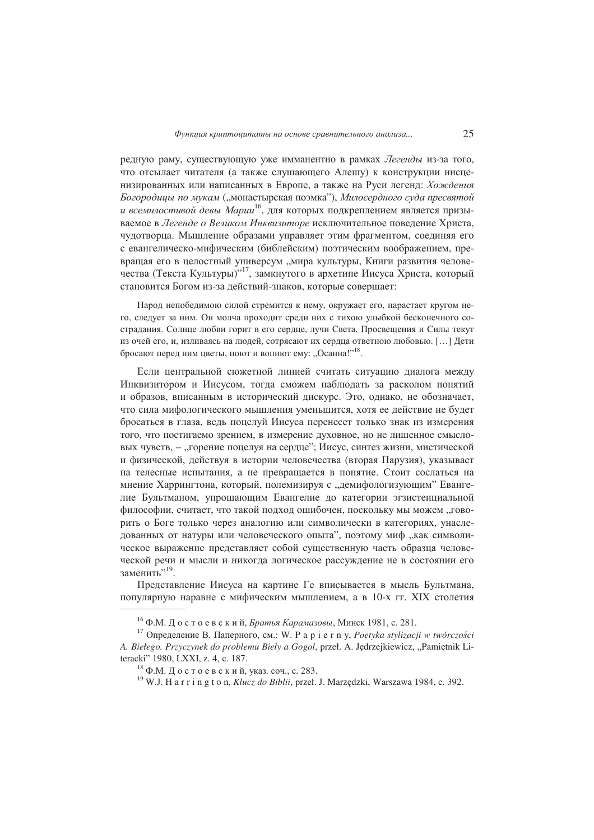редную раму, существующую уже имманентно в рамках Легенды из-за того, что отсылает читателя (а также слушающего Алешу) к конструкции инсценизированных или написанных в Европе, а также на Руси легенд: Хождения Богородицы по мукам ("монастырская поэмка"), Милосердного суда пресвятой и всемилостивой девы Марии<sup>16</sup>, для которых подкреплением является призываемое в Легенде о Великом Инквизиторе исключительное поведение Христа, чудотворца. Мышление образами управляет этим фрагментом, соединяя его с евангелическо-мифическим (библейским) поэтическим воображением, превращая его в целостный универсум "мира культуры, Книги развития человечества (Текста Культуры)"<sup>17</sup>, замкнутого в архетипе Иисуса Христа, который становится Богом из-за действий-знаков, которые совершает:

Народ непобедимою силой стремится к нему, окружает его, нарастает кругом него, следует за ним. Он молча проходит среди них с тихою улыбкой бесконечного сострадания. Солнце любви горит в его сердце, лучи Света, Просвещения и Силы текут из очей его, и, изливаясь на людей, сотрясают их сердца ответною любовью. [...] Дети бросают перед ним цветы, поют и вопиют ему: "Осанна!"<sup>18</sup>.

Если центральной сюжетной линией считать ситуацию диалога между Инквизитором и Иисусом, тогда сможем наблюдать за расколом понятий и образов, вписанным в исторический дискурс. Это, однако, не обозначает, что сила мифологического мышления уменьшится, хотя ее действие не будет бросаться в глаза, ведь поцелуй Иисуса перенесет только знак из измерения того, что постигаемо зрением, в измерение духовное, но не лишенное смысловых чувств, - "горение поцелуя на сердце"; Иисус, синтез жизни, мистической и физической, действуя в истории человечества (вторая Парузия), указывает на телесные испытания, а не превращается в понятие. Стоит сослаться на мнение Харрингтона, который, полемизируя с "демифологизующим" Евангелие Бультманом, упрощающим Евангелие до категории эгзистенциальной философии, считает, что такой полхол ошибочен, поскольку мы можем "говорить о Боге только через аналогию или символически в категориях, унаследованных от натуры или человеческого опыта", поэтому миф "как символическое выражение представляет собой существенную часть образца человеческой речи и мысли и никогда логическое рассуждение не в состоянии его заменить".19

Представление Иисуса на картине Ге вписывается в мысль Бультмана. популярную наравне с мифическим мышлением, а в 10-х гг. XIX столетия

<sup>&</sup>lt;sup>16</sup> Ф.М. Достоевский, *Братья Карамазовы*, Минск 1981, с. 281.

<sup>&</sup>lt;sup>17</sup> Определение В. Паперного, см.: W. P a p i e r n y, Poetyka stylizacji w twórczości A. Biełego. Przyczynek do problemu Bieły a Gogol, przeł. A. Jędrzejkiewicz, "Pamiętnik Literacki" 1980, LXXI, z. 4, c. 187.

 $^{18}$  Ф.М. Достоевский, указ. соч., с. 283.

<sup>&</sup>lt;sup>19</sup> W.J. H a r r i n g t o n, Klucz do Biblii, przeł. J. Marzędzki, Warszawa 1984, c. 392.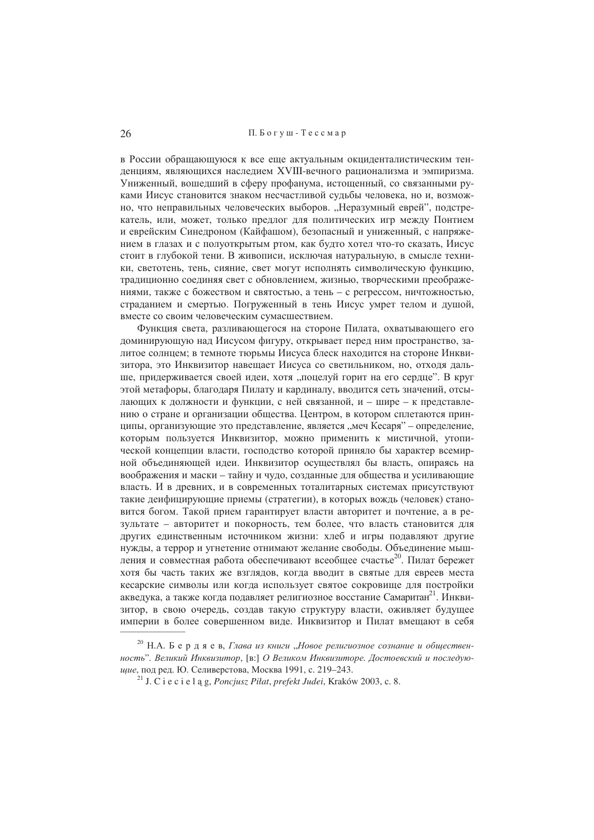### П. Богуш - Тессмар

в России обращающуюся к все еще актуальным окциденталистическим тенленниям, являющихся наслелием XVIII-вечного рационализма и эмпиризма. Униженный, вошедший в сферу профанума, истощенный, со связанными руками Иисус становится знаком несчастливой судьбы человека, но и, возможно, что неправильных человеческих выборов. "Неразумный еврей", подстрекатель, или, может, только предлог для политических игр между Понтием и еврейским Синедроном (Кайфашом), безопасный и униженный, с напряжением в глазах и с полуоткрытым ртом, как булто хотел что-то сказать. Иисус стоит в глубокой тени. В живописи, исключая натуральную, в смысле техники, светотень, тень, сияние, свет могут исполнять символическую функцию, тралиционно соелиняя свет с обновлением, жизнью, творческими преображениями, также с божеством и святостью, а тень - с регрессом, ничтожностью, страданием и смертью. Погруженный в тень Иисус умрет телом и душой, вместе со своим человеческим сумасшествием.

Функция света, разливающегося на стороне Пилата, охватывающего его доминирующую над Иисусом фигуру, открывает перед ним пространство, залитое солнцем: в темноте тюрьмы Иисуса блеск нахолится на стороне Инквизитора, это Инквизитор навещает Иисуса со светильником, но, отходя дальше, придерживается своей идеи, хотя "поцелуй горит на его сердце". В круг этой метафоры, благодаря Пилату и кардиналу, вводится сеть значений, отсылающих к должности и функции, с ней связанной, и - шире - к представлению о стране и организации общества. Центром, в котором сплетаются принципы, организующие это представление, является "меч Кесаря" - определение, которым пользуется Инквизитор, можно применить к мистичной, утопической концепции власти, господство которой приняло бы характер всемирной объединяющей идеи. Инквизитор осуществлял бы власть, опираясь на воображения и маски - тайну и чудо, созданные для общества и усиливающие власть. И в люевних, и в современных тоталитарных системах присутствуют такие деифицирующие приемы (стратегии), в которых вождь (человек) становится богом. Такой прием гарантирует власти авторитет и почтение, а в результате - авторитет и покорность, тем более, что власть становится для других единственным источником жизни: хлеб и игры подавляют другие нужды, а террор и угнетение отнимают желание свободы. Объединение мышления и совместная работа обеспечивают всеобщее счастье<sup>20</sup>. Пилат бережет хотя бы часть таких же взглядов, когда вводит в святые для евреев места кесарские символы или когда использует святое сокровище для постройки акведука, а также когда подавляет религиозное восстание Самаритан<sup>21</sup>. Инквизитор, в свою очередь, создав такую структуру власти, оживляет будущее империи в более совершенном виде. Инквизитор и Пилат вмешают в себя

<sup>&</sup>lt;sup>20</sup> Н.А. Бердяев, Глава из книги "Новое религиозное сознание и общественность". Великий Инквизитор, [в:] О Великом Инквизиторе. Достоевский и последующие, под ред. Ю. Селиверстова, Москва 1991, с. 219-243.

<sup>&</sup>lt;sup>21</sup> J.  $\tilde{C}$  i e c i e l a g, *Poncjusz Piłat, prefekt Judei*, Kraków 2003, c. 8.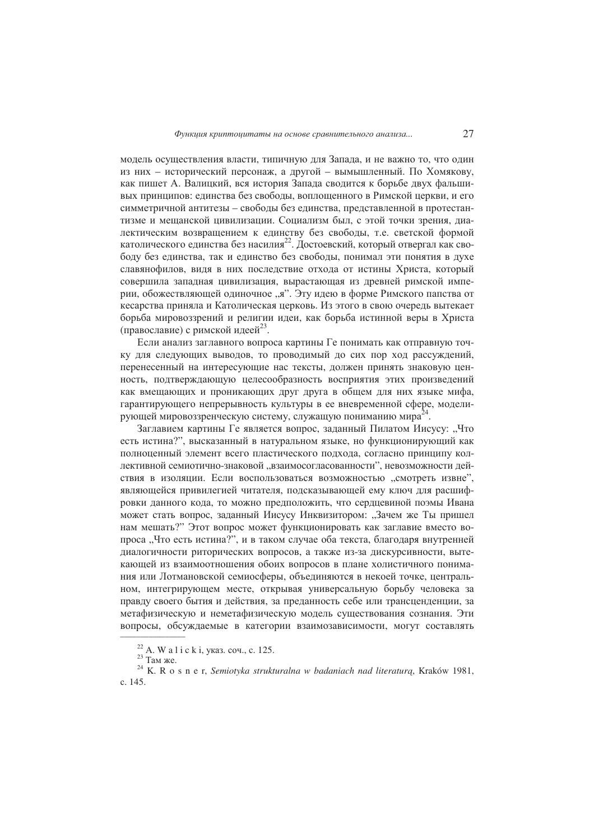модель осуществления власти, типичную для Запада, и не важно то, что один из них - исторический персонаж, а другой - вымышленный. По Хомякову, как пишет А. Валицкий, вся история Запада сводится к борьбе двух фальшивых принципов: единства без свободы, воплощенного в Римской церкви, и его симметричной антитезы - свободы без единства, представленной в протестантизме и мещанской цивилизации. Социализм был, с этой точки зрения, диалектическим возвращением к единству без свободы, т.е. светской формой католического единства без насилия<sup>22</sup>. Достоевский, который отвергал как свободу без единства, так и единство без свободы, понимал эти понятия в духе славянофилов, видя в них последствие отхода от истины Христа, который совершила западная цивилизация, вырастающая из древней римской империи, обожествляющей одиночное "я". Эту идею в форме Римского папства от кесарства приняла и Католическая церковь. Из этого в свою очередь вытекает борьба мировоззрений и религии идеи, как борьба истинной веры в Христа (православие) с римской идеей<sup>23</sup>.

Если анализ заглавного вопроса картины Ге понимать как отправную точку для следующих выводов, то проводимый до сих пор ход рассуждений, перенесенный на интересующие нас тексты, должен принять знаковую ценность, подтверждающую целесообразность восприятия этих произведений как вмешающих и проникающих друг друга в общем для них языке мифа. гарантирующего непрерывность культуры в ее вневременной сфере, моделирующей мировоззренческую систему, служащую пониманию мира<sup>24</sup>.

Заглавием картины Ге является вопрос, заданный Пилатом Иисусу: "Что есть истина?", высказанный в натуральном языке, но функционирующий как полноценный элемент всего пластического подхода, согласно принципу коллективной семиотично-знаковой "взаимосогласованности", невозможности действия в изоляции. Если воспользоваться возможностью "смотреть извне", являющейся привилегией читателя, подсказывающей ему ключ для расшифровки данного кода, то можно предположить, что сердцевиной поэмы Ивана может стать вопрос, заданный Иисусу Инквизитором: "Зачем же Ты пришел нам мешать?" Этот вопрос может функционировать как заглавие вместо вопроса "Что есть истина?", и в таком случае оба текста, благодаря внутренней диалогичности риторических вопросов, а также из-за дискурсивности, вытекающей из взаимоотношения обоих вопросов в плане холистичного понимания или Лотмановской семиосферы, объединяются в некоей точке, центральном, интегрирующем месте, открывая универсальную борьбу человека за правду своего бытия и действия, за преданность себе или трансценденции, за метафизическую и неметафизическую модель существования сознания. Эти вопросы, обсуждаемые в категории взаимозависимости, могут составлять

<sup>&</sup>lt;sup>22</sup> A. W a l i c k i, указ. соч., с. 125.

 $23$  Там же.

<sup>&</sup>lt;sup>24</sup> K. R o s n e r, Semiotyka strukturalna w badaniach nad literaturą, Kraków 1981, c. 145.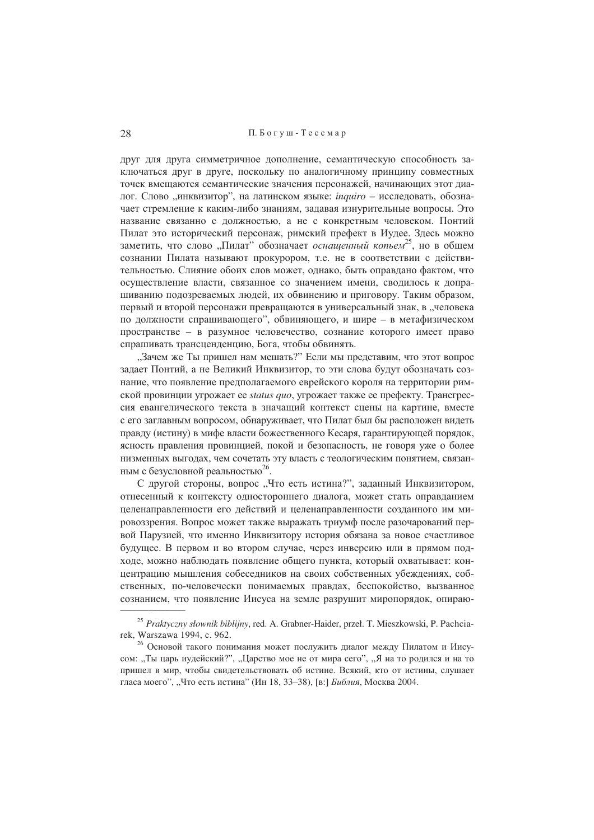### П. Богуш - Тессмар

друг для друга симметричное дополнение, семантическую способность заключаться лруг в лруге, поскольку по аналогичному принципу совместных точек вмешаются семантические значения персонажей, начинающих этот диалог. Слово "инквизитор", на латинском языке: *inquiro* - исследовать, обозначает стремление к каким-либо знаниям, задавая изнурительные вопросы. Это название связанно с должностью, а не с конкретным человеком. Понтий Пилат это исторический персонаж, римский префект в Иудее. Здесь можно заметить, что слово "Пилат" обозначает оснащенный копьем<sup>25</sup>, но в общем сознании Пилата называют прокурором, т.е. не в соответствии с лействительностью. Слияние обоих слов может, однако, быть оправдано фактом, что осуществление власти, связанное со значением имени, сволилось к лопрашиванию подозреваемых людей, их обвинению и приговору. Таким образом, первый и второй персонажи превращаются в универсальный знак, в "человека по должности спрашивающего", обвиняющего, и шире - в метафизическом пространстве - в разумное человечество, сознание которого имеет право спрашивать трансценденцию, Бога, чтобы обвинять.

"Зачем же Ты пришел нам мешать?" Если мы представим, что этот вопрос залает Понтий, а не Великий Инквизитор, то эти слова булут обозначать сознание, что появление предполагаемого еврейского короля на территории римской провинции угрожает ее status quo, угрожает также ее префекту. Трансгрессия евангелического текста в значащий контекст сцены на картине, вместе с его заглавным вопросом, обнаруживает, что Пилат был бы расположен вилеть правду (истину) в мифе власти божественного Кесаря, гарантирующей порядок, ясность правления провинцией, покой и безопасность, не говоря уже о более низменных выгодах, чем сочетать эту власть с теологическим понятием, связанным с безусловной реальностью<sup>26</sup>.

С другой стороны, вопрос "Что есть истина?", заданный Инквизитором, отнесенный к контексту одностороннего диалога, может стать оправданием неленаправленности его лействий и целенаправленности созланного им мировоззрения. Вопрос может также выражать триумф после разочарований первой Парузией, что именно Инквизитору история обязана за новое счастливое будущее. В первом и во втором случае, через инверсию или в прямом подходе, можно наблюдать появление общего пункта, который охватывает: концентрацию мышления собеседников на своих собственных убеждениях, собственных, по-человечески понимаемых правлах, беспокойство, вызванное сознанием, что появление Иисуса на земле разрушит миропорялок, опираю-

<sup>&</sup>lt;sup>25</sup> Praktyczny słownik biblijny, red. A. Grabner-Haider, przeł. T. Mieszkowski, P. Pachciarek, Warszawa 1994, c. 962.

<sup>&</sup>lt;sup>26</sup> Основой такого понимания может послужить диалог между Пилатом и Иисусом: "Ты царь иудейский?", "Царство мое не от мира сего", "Я на то родился и на то пришел в мир, чтобы свидетельствовать об истине. Всякий, кто от истины, слушает гласа моего", "Что есть истина" (Ин 18, 33-38), [в:] Библия, Москва 2004.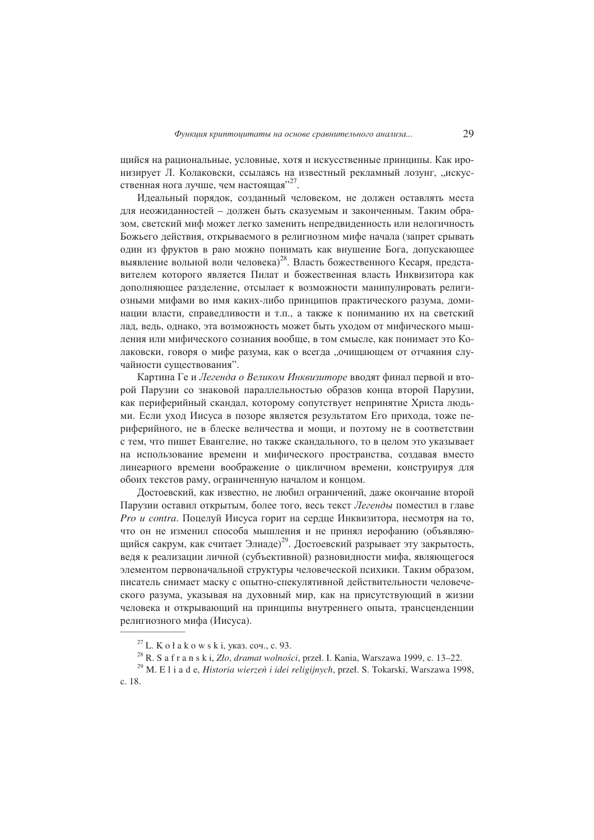щийся на рациональные, условные, хотя и искусственные принципы. Как иронизирует Л. Колаковски, ссылаясь на известный рекламный лозунг, "искусственная нога лучше, чем настоящая"<sup>27</sup>.

Идеальный порядок, созданный человеком, не должен оставлять места для неожиданностей - должен быть сказуемым и законченным. Таким образом, светский миф может легко заменить непредвиденность или нелогичность Божьего действия, открываемого в религиозном мифе начала (запрет срывать один из фруктов в раю можно понимать как внушение Бога, допускающее выявление вольной воли человека)<sup>28</sup>. Власть божественного Кесаря, представителем которого является Пилат и божественная власть Инквизитора как дополняющее разделение, отсылает к возможности манипулировать религиозными мифами во имя каких-либо принципов практического разума, доминации власти, справелливости и т.п., а также к пониманию их на светский лад, ведь, однако, эта возможность может быть уходом от мифического мышления или мифического сознания вообще, в том смысле, как понимает это Колаковски, говоря о мифе разума, как о всегда "очищающем от отчаяния случайности существования".

Картина Ге и Легенда о Великом Инквизиторе вводят финал первой и второй Парузии со знаковой параллельностью образов конца второй Парузии, как периферийный скандал, которому сопутствует непринятие Христа людьми. Если уход Иисуса в позоре является результатом Его прихода, тоже периферийного, не в блеске величества и мощи, и поэтому не в соответствии с тем, что пишет Евангелие, но также скандального, то в целом это указывает на использование времени и мифического пространства, создавая вместо линеарного времени воображение о цикличном времени, конструируя для обоих текстов раму, ограниченную началом и концом.

Достоевский, как известно, не любил ограничений, даже окончание второй Парузии оставил открытым, более того, весь текст Легенды поместил в главе Pro u contra. Поцелуй Иисуса горит на сердце Инквизитора, несмотря на то, что он не изменил способа мышления и не принял иерофанию (объявляющийся сакрум, как считает Элиаде)<sup>29</sup>. Достоевский разрывает эту закрытость, ведя к реализации личной (субъективной) разновидности мифа, являющегося элементом первоначальной структуры человеческой психики. Таким образом, писатель снимает маску с опытно-спекулятивной действительности человеческого разума, указывая на духовный мир, как на присутствующий в жизни человека и открывающий на принципы внутреннего опыта, трансценленции религиозного мифа (Иисуса).

 $27$  L. K o ł a k o w s k i, указ. соч., с. 93.

<sup>&</sup>lt;sup>28</sup> R. S a f r a n s k i, Zło, dramat wolności, przeł. I. Kania, Warszawa 1999, c. 13-22.

 $^{29}$  M. E l i a d e, Historia wierzeń i idei religijnych, przeł. S. Tokarski, Warszawa 1998, c. 18.